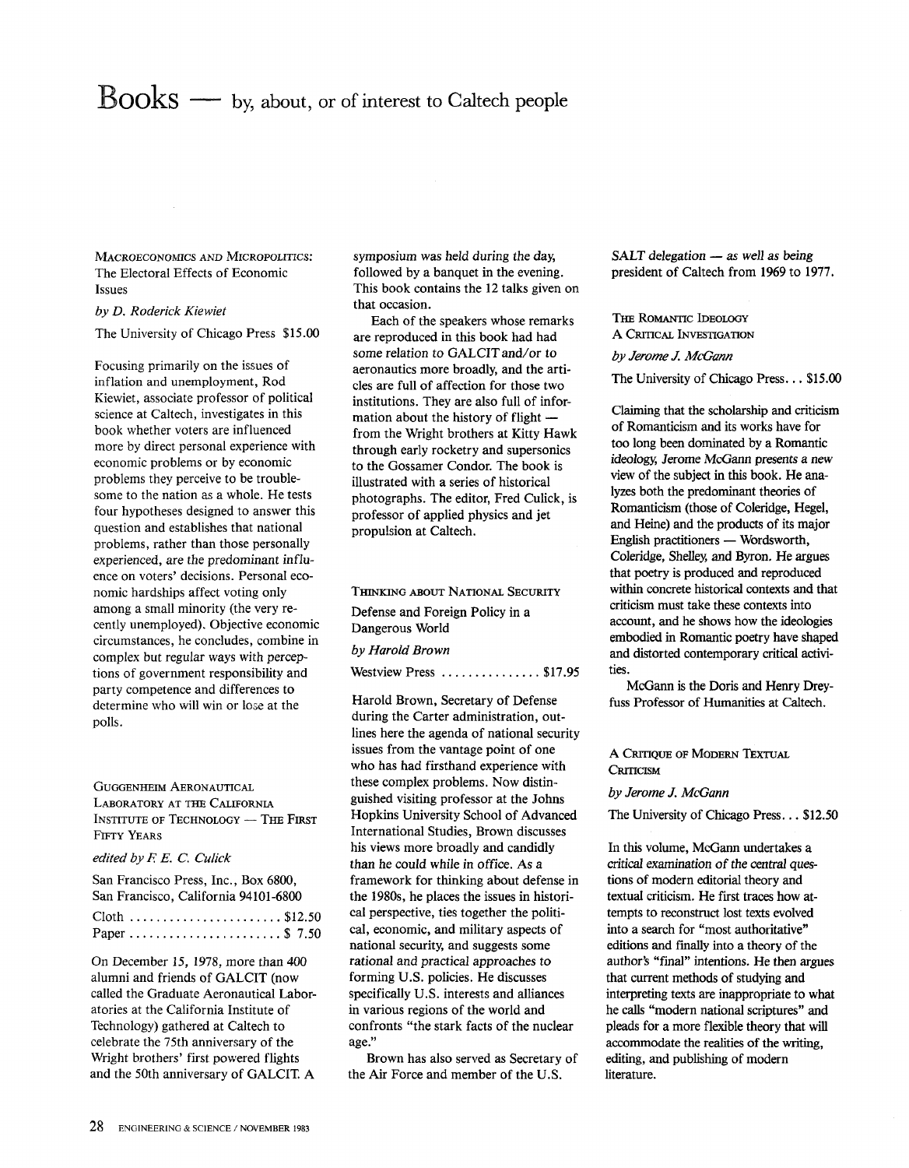## **Books** — by, about, or of interest to Caltech people

MACROECONOMICS AND MICROPOLITICS: The Electoral Effects of Economic Issues

## *by D. Roderick Kiewiet*

The University of Chicago Press \$15.00

Focusing primarily on the issues of inflation and unemployment, Rod Kiewiet, associate professor of political science at Caltech, investigates in this book whether voters are influenced more by direct personal experience with economic problems or by economic problems they perceive to be troublesome to the nation as a whole. He tests four hypotheses designed to answer this question and establishes that national problems, rather than those personally experienced, are the predominant influence on voters' decisions. Personal economic hardships affect voting only among a small minority (the very recently unemployed). Objective economic circumstances, he concludes, combine in complex but regular ways with perceptions of government responsibility and party competence and differences to determine who will win or lose at the polls.

GUGGENHEIM AERONAUTICAL LABORATORY AT THE CALIFORNIA INSTITUTE OF TECHNOLOGY - THE FIRST FIFTY YEARS

*edited by F. E.* C. *Culick* 

| San Francisco Press, Inc., Box 6800,<br>San Francisco, California 94101-6800 |
|------------------------------------------------------------------------------|
| Cloth  \$12.50                                                               |

On December 15, 1978, more than 400 alumni and friends of GALCIT (now called the Graduate Aeronautical Laboratories at the California Institute of Technology) gathered at Caltech to celebrate the 75th anniversary of the Wright brothers' first powered flights and the 50th anniversary of GALCIT. A

symposium was held during the day, followed by a banquet in the evening. This book contains the 12 talks given on that occasion.

Each of the speakers whose remarks are reproduced in this book had had some relation to GALCIT and/or to aeronautics more broadly, and the articles are full of affection for those two institutions. They are also full of information about the history of flight  $$ from the Wright brothers at Kitty Hawk through early rocketry and supersonics to the Gossamer Condor. The book is illustrated with a series of historical photographs. The editor, Fred Culick, is professor of applied physics and jet propulsion at Caltech.

THINKING ABOUT NATIONAL SECURITY Defense and Foreign Policy in a Dangerous World

## *by Harold Brown*

Westview Press ................ \$17.95

Harold Brown, Secretary of Defense during the Carter administration, outlines here the agenda of national security issues from the vantage point of one who has had firsthand experience with these complex problems. Now distinguished visiting professor at the Johns Hopkins University School of Advanced International Studies, Brown discusses his views more broadly and candidly than he could while in office. As a framework for thinking about defense in the 1980s, he places the issues in historical perspective, ties together the political, economic, and military aspects of national security, and suggests some rational and practical approaches to forming U.S. policies. He discusses specifically U.S. interests and alliances in various regions of the world and confronts "the stark facts of the nuclear age."

Brown has also served as Secretary of the Air Force and member of the U.S.

SALT delegation - as well as being president of Caltech from 1969 to 1977.

THE ROMANTIC IDEOLOGY A CRITICAL INVESTIGATION *by Jerome J. McGann* 

The University of Chicago Press ... \$15.00

Claiming that the scholarship and criticism of Romanticism and its works have for too long been dominated by a Romantic ideology, Jerome McGann presents a new view of the subject in this book. He analyzes both the predominant theories of Romanticism (those of Coleridge, Hegel, and Heine) and the products of its major English practitioners — Wordsworth, Coleridge, Shelley, and Byron. He argues that poetry is produced and reproduced within concrete historical contexts and that criticism must take these contexts into account, and he shows how the ideologies embodied in Romantic poetry have shaped and distorted contemporary critical activities.

McGann is the Doris and Henry Dreyfuss Professor of Humanities at Caltech.

A CRITIQUE OF MODERN TEXTUAL **CRITICISM** 

## *by Jerome J. McGann*

The University of Chicago Press ... \$12.50

In this volume, McGann undertakes a critical examination of the central questions of modern editorial theory and textual criticism. He first traces how attempts to reconstruct lost texts evolved into a search for "most authoritative" editions and finally into a theory of the author's "final" intentions. He then argues that current methods of studying and interpreting texts are inappropriate to what he calls "modern national scriptures" and pleads for a more flexible theory that will accommodate the realities of the writing, editing, and publishing of modern literature.